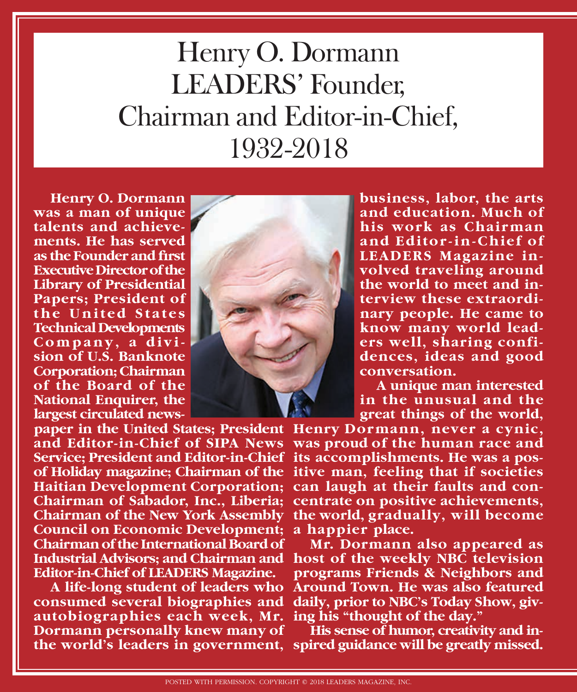## Henry O. Dormann LEADERS' Founder, Chairman and Editor-in-Chief, 1932-2018

**Henry O. Dormann was a man of unique talents and achievements. He has served as the Founder and first Executive Director of the Library of Presidential Papers; President of the United States Technical Developments Company, a division of U.S. Banknote Corporation; Chairman of the Board of the National Enquirer, the largest circulated news-**

**paper in the United States; President Henry Dormann, never a cynic, Service; President and Editor-in-Chief its accomplishments. He was a pos-Haitian Development Corporation; can laugh at their faults and con-Council on Economic Development; a happier place. Chairman of the International Board of Editor-in-Chief of LEADERS Magazine.**

**consumed several biographies and daily, prior to NBC's Today Show, givautobiographies each week, Mr. ing his "thought of the day." Dormann personally knew many of the world's leaders in government, spired guidance will be greatly missed.**



**business, labor, the arts and education. Much of his work as Chairman and Editor-in-Chief of LEADERS Magazine involved traveling around the world to meet and interview these extraordinary people. He came to know many world leaders well, sharing confidences, ideas and good conversation.**

**A unique man interested in the unusual and the great things of the world,** 

**and Editor-in-Chief of SIPA News was proud of the human race and of Holiday magazine; Chairman of the itive man, feeling that if societies Chairman of Sabador, Inc., Liberia; centrate on positive achievements, Chairman of the New York Assembly the world, gradually, will become** 

**Industrial Advisors; and Chairman and host of the weekly NBC television A life-long student of leaders who Around Town. He was also featured Mr. Dormann also appeared as programs Friends & Neighbors and** 

**His sense of humor, creativity and in-**